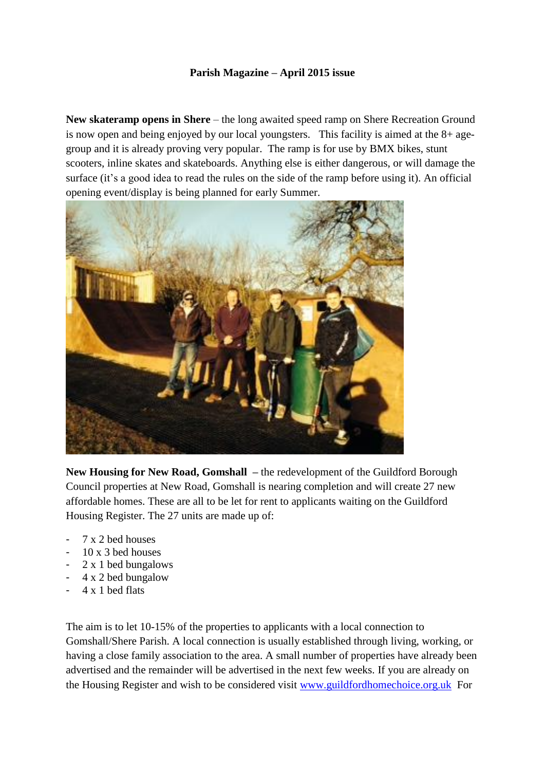## **Parish Magazine – April 2015 issue**

**New skateramp opens in Shere** – the long awaited speed ramp on Shere Recreation Ground is now open and being enjoyed by our local youngsters. This facility is aimed at the 8+ agegroup and it is already proving very popular. The ramp is for use by BMX bikes, stunt scooters, inline skates and skateboards. Anything else is either dangerous, or will damage the surface (it's a good idea to read the rules on the side of the ramp before using it). An official opening event/display is being planned for early Summer.



**New Housing for New Road, Gomshall –** the redevelopment of the Guildford Borough Council properties at New Road, Gomshall is nearing completion and will create 27 new affordable homes. These are all to be let for rent to applicants waiting on the Guildford Housing Register. The 27 units are made up of:

- 7 x 2 bed houses
- 10 x 3 bed houses
- 2 x 1 bed bungalows
- 4 x 2 bed bungalow
- 4 x 1 bed flats

The aim is to let 10-15% of the properties to applicants with a local connection to Gomshall/Shere Parish. A local connection is usually established through living, working, or having a close family association to the area. A small number of properties have already been advertised and the remainder will be advertised in the next few weeks. If you are already on the Housing Register and wish to be considered visit [www.guildfordhomechoice.org.uk](http://www.guildfordhomechoice.org.uk/) For